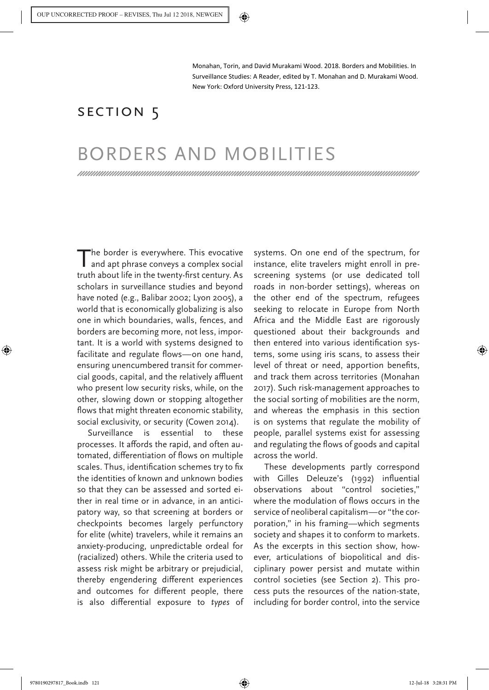Monahan, Torin, and David Murakami Wood. 2018. Borders and Mobilities. In Surveillance Studies: A Reader, edited by T. Monahan and D. Murakami Wood. New York: Oxford University Press, 121-123.

## SECTION<sub>5</sub>

## BORDERS AND MOBILITIES

The border is everywhere. This evocative and apt phrase conveys a complex social truth about life in the twenty-first century. As scholars in surveillance studies and beyond have noted (e.g., Balibar 2002; Lyon 2005), a world that is economically globalizing is also one in which boundaries, walls, fences, and borders are becoming more, not less, important. It is a world with systems designed to facilitate and regulate flows—on one hand, ensuring unencumbered transit for commercial goods, capital, and the relatively affluent who present low security risks, while, on the other, slowing down or stopping altogether flows that might threaten economic stability, social exclusivity, or security (Cowen 2014).

Surveillance is essential to these processes. It affords the rapid, and often automated, differentiation of flows on multiple scales. Thus, identification schemes try to fix the identities of known and unknown bodies so that they can be assessed and sorted either in real time or in advance, in an anticipatory way, so that screening at borders or checkpoints becomes largely perfunctory for elite (white) travelers, while it remains an anxiety-producing, unpredictable ordeal for (racialized) others. While the criteria used to assess risk might be arbitrary or prejudicial, thereby engendering different experiences and outcomes for different people, there is also differential exposure to *types* of

systems. On one end of the spectrum, for instance, elite travelers might enroll in prescreening systems (or use dedicated toll roads in non-border settings), whereas on the other end of the spectrum, refugees seeking to relocate in Europe from North Africa and the Middle East are rigorously questioned about their backgrounds and then entered into various identification systems, some using iris scans, to assess their level of threat or need, apportion benefits, and track them across territories (Monahan 2017). Such risk-management approaches to the social sorting of mobilities are the norm, and whereas the emphasis in this section is on systems that regulate the mobility of people, parallel systems exist for assessing and regulating the flows of goods and capital across the world.

These developments partly correspond with Gilles Deleuze's (1992) influential observations about "control societies," where the modulation of flows occurs in the service of neoliberal capitalism—or "the corporation," in his framing—which segments society and shapes it to conform to markets. As the excerpts in this section show, however, articulations of biopolitical and disciplinary power persist and mutate within control societies (see Section 2). This process puts the resources of the nation-state, including for border control, into the service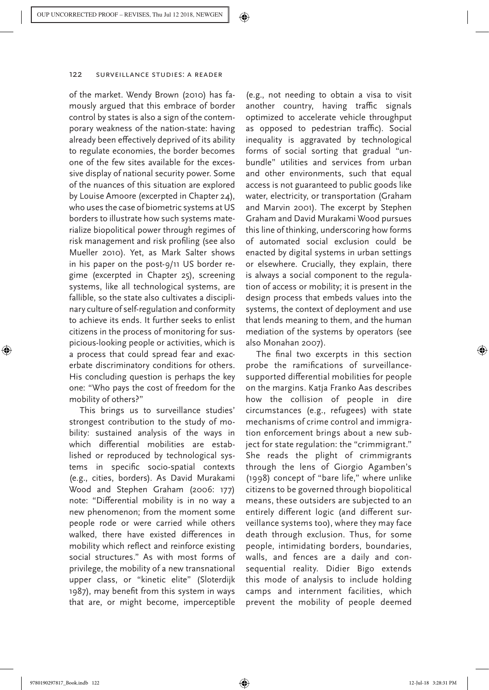of the market. Wendy Brown (2010) has famously argued that this embrace of border control by states is also a sign of the contemporary weakness of the nation-state: having already been effectively deprived of its ability to regulate economies, the border becomes one of the few sites available for the excessive display of national security power. Some of the nuances of this situation are explored by Louise Amoore (excerpted in Chapter 24), who uses the case of biometric systems at US borders to illustrate how such systems materialize biopolitical power through regimes of risk management and risk profiling (see also Mueller 2010). Yet, as Mark Salter shows in his paper on the post-9/11 US border regime (excerpted in Chapter 25), screening systems, like all technological systems, are fallible, so the state also cultivates a disciplinary culture of self-regulation and conformity to achieve its ends. It further seeks to enlist citizens in the process of monitoring for suspicious-looking people or activities, which is a process that could spread fear and exacerbate discriminatory conditions for others. His concluding question is perhaps the key one: "Who pays the cost of freedom for the mobility of others?"

This brings us to surveillance studies' strongest contribution to the study of mobility: sustained analysis of the ways in which differential mobilities are established or reproduced by technological systems in specific socio-spatial contexts (e.g., cities, borders). As David Murakami Wood and Stephen Graham (2006: 177) note: "Differential mobility is in no way a new phenomenon; from the moment some people rode or were carried while others walked, there have existed differences in mobility which reflect and reinforce existing social structures." As with most forms of privilege, the mobility of a new transnational upper class, or "kinetic elite" (Sloterdijk 1987), may benefit from this system in ways that are, or might become, imperceptible

(e.g., not needing to obtain a visa to visit another country, having traffic signals optimized to accelerate vehicle throughput as opposed to pedestrian traffic). Social inequality is aggravated by technological forms of social sorting that gradual "unbundle" utilities and services from urban and other environments, such that equal access is not guaranteed to public goods like water, electricity, or transportation (Graham and Marvin 2001). The excerpt by Stephen Graham and David Murakami Wood pursues this line of thinking, underscoring how forms of automated social exclusion could be enacted by digital systems in urban settings or elsewhere. Crucially, they explain, there is always a social component to the regulation of access or mobility; it is present in the design process that embeds values into the systems, the context of deployment and use that lends meaning to them, and the human mediation of the systems by operators (see also Monahan 2007).

The final two excerpts in this section probe the ramifications of surveillancesupported differential mobilities for people on the margins. Katja Franko Aas describes how the collision of people in dire circumstances (e.g., refugees) with state mechanisms of crime control and immigration enforcement brings about a new subject for state regulation: the "crimmigrant." She reads the plight of crimmigrants through the lens of Giorgio Agamben's (1998) concept of "bare life," where unlike citizens to be governed through biopolitical means, these outsiders are subjected to an entirely different logic (and different surveillance systems too), where they may face death through exclusion. Thus, for some people, intimidating borders, boundaries, walls, and fences are a daily and consequential reality. Didier Bigo extends this mode of analysis to include holding camps and internment facilities, which prevent the mobility of people deemed